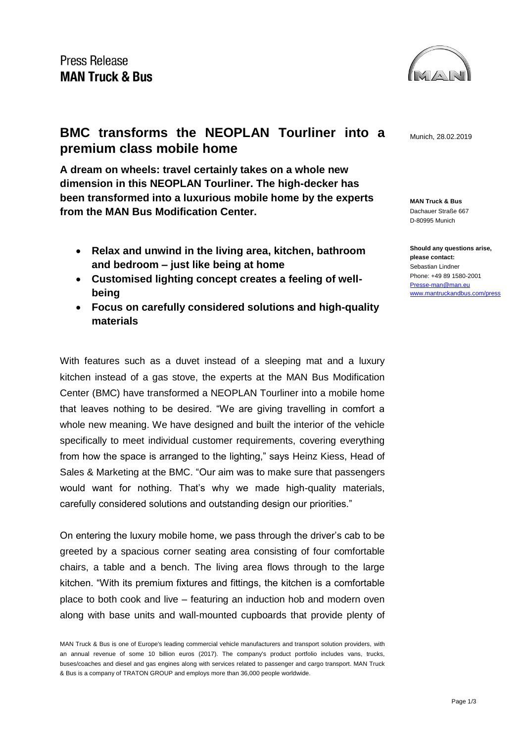

**MAN Truck & Bus** Dachauer Straße 667 D-80995 Munich

**Should any questions arise, please contact:** Sebastian Lindner Phone: +49 89 1580-2001 [Presse-man@man.eu](mailto:Presse-man@man.eu) [www.mantruckandbus.com/press](http://www.mantruckandbus.com/press)

## **BMC transforms the NEOPLAN Tourliner into a** Munich, 28.02.2019 **premium class mobile home**

**A dream on wheels: travel certainly takes on a whole new dimension in this NEOPLAN Tourliner. The high-decker has been transformed into a luxurious mobile home by the experts from the MAN Bus Modification Center.**

- **Relax and unwind in the living area, kitchen, bathroom and bedroom – just like being at home**
- **Customised lighting concept creates a feeling of wellbeing**
- **Focus on carefully considered solutions and high-quality materials**

With features such as a duvet instead of a sleeping mat and a luxury kitchen instead of a gas stove, the experts at the MAN Bus Modification Center (BMC) have transformed a NEOPLAN Tourliner into a mobile home that leaves nothing to be desired. "We are giving travelling in comfort a whole new meaning. We have designed and built the interior of the vehicle specifically to meet individual customer requirements, covering everything from how the space is arranged to the lighting," says Heinz Kiess, Head of Sales & Marketing at the BMC. "Our aim was to make sure that passengers would want for nothing. That's why we made high-quality materials, carefully considered solutions and outstanding design our priorities."

On entering the luxury mobile home, we pass through the driver's cab to be greeted by a spacious corner seating area consisting of four comfortable chairs, a table and a bench. The living area flows through to the large kitchen. "With its premium fixtures and fittings, the kitchen is a comfortable place to both cook and live – featuring an induction hob and modern oven along with base units and wall-mounted cupboards that provide plenty of

MAN Truck & Bus is one of Europe's leading commercial vehicle manufacturers and transport solution providers, with an annual revenue of some 10 billion euros (2017). The company's product portfolio includes vans, trucks, buses/coaches and diesel and gas engines along with services related to passenger and cargo transport. MAN Truck & Bus is a company of TRATON GROUP and employs more than 36,000 people worldwide.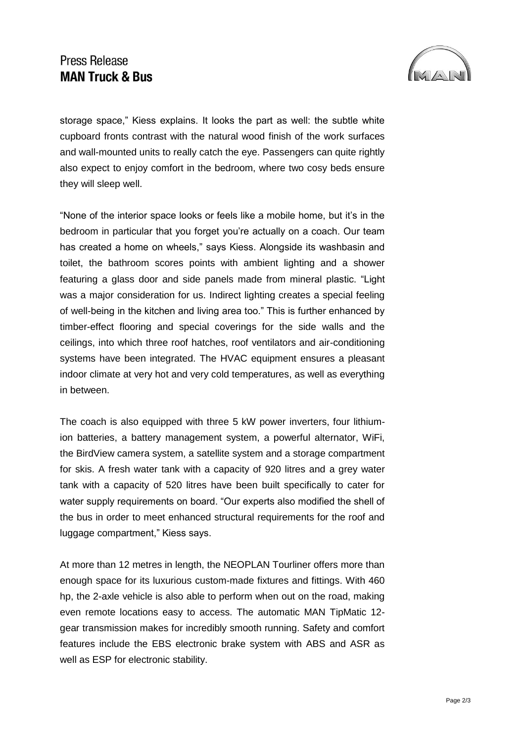## **Press Release MAN Truck & Bus**



storage space," Kiess explains. It looks the part as well: the subtle white cupboard fronts contrast with the natural wood finish of the work surfaces and wall-mounted units to really catch the eye. Passengers can quite rightly also expect to enjoy comfort in the bedroom, where two cosy beds ensure they will sleep well.

"None of the interior space looks or feels like a mobile home, but it's in the bedroom in particular that you forget you're actually on a coach. Our team has created a home on wheels," says Kiess. Alongside its washbasin and toilet, the bathroom scores points with ambient lighting and a shower featuring a glass door and side panels made from mineral plastic. "Light was a major consideration for us. Indirect lighting creates a special feeling of well-being in the kitchen and living area too." This is further enhanced by timber-effect flooring and special coverings for the side walls and the ceilings, into which three roof hatches, roof ventilators and air-conditioning systems have been integrated. The HVAC equipment ensures a pleasant indoor climate at very hot and very cold temperatures, as well as everything in between.

The coach is also equipped with three 5 kW power inverters, four lithiumion batteries, a battery management system, a powerful alternator, WiFi, the BirdView camera system, a satellite system and a storage compartment for skis. A fresh water tank with a capacity of 920 litres and a grey water tank with a capacity of 520 litres have been built specifically to cater for water supply requirements on board. "Our experts also modified the shell of the bus in order to meet enhanced structural requirements for the roof and luggage compartment," Kiess says.

At more than 12 metres in length, the NEOPLAN Tourliner offers more than enough space for its luxurious custom-made fixtures and fittings. With 460 hp, the 2-axle vehicle is also able to perform when out on the road, making even remote locations easy to access. The automatic MAN TipMatic 12 gear transmission makes for incredibly smooth running. Safety and comfort features include the EBS electronic brake system with ABS and ASR as well as ESP for electronic stability.